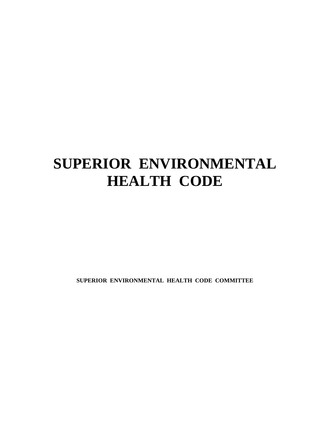# **SUPERIOR ENVIRONMENTAL HEALTH CODE**

**SUPERIOR ENVIRONMENTAL HEALTH CODE COMMITTEE**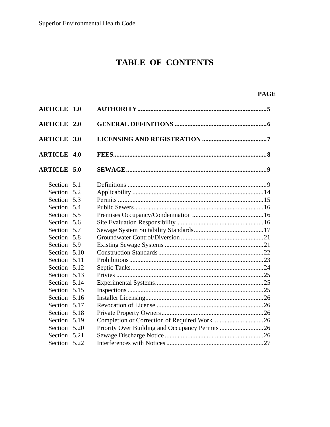# **TABLE OF CONTENTS**

# **PAGE**

| <b>ARTICLE 1.0</b> |      |                                                 |  |
|--------------------|------|-------------------------------------------------|--|
| <b>ARTICLE 2.0</b> |      |                                                 |  |
| <b>ARTICLE 3.0</b> |      |                                                 |  |
| <b>ARTICLE 4.0</b> |      |                                                 |  |
| <b>ARTICLE 5.0</b> |      |                                                 |  |
| Section 5.1        |      |                                                 |  |
| Section 5.2        |      |                                                 |  |
| Section 5.3        |      |                                                 |  |
| Section 5.4        |      |                                                 |  |
| Section 5.5        |      |                                                 |  |
| Section 5.6        |      |                                                 |  |
| Section 5.7        |      |                                                 |  |
| Section 5.8        |      |                                                 |  |
| Section 5.9        |      |                                                 |  |
| Section 5.10       |      |                                                 |  |
| Section            | 5.11 |                                                 |  |
| Section 5.12       |      |                                                 |  |
| Section 5.13       |      |                                                 |  |
| Section 5.14       |      |                                                 |  |
| Section 5.15       |      |                                                 |  |
| Section 5.16       |      |                                                 |  |
| Section            | 5.17 |                                                 |  |
| Section 5.18       |      |                                                 |  |
| Section 5.19       |      |                                                 |  |
| Section 5.20       |      | Priority Over Building and Occupancy Permits 26 |  |
| Section 5.21       |      |                                                 |  |
| Section 5.22       |      |                                                 |  |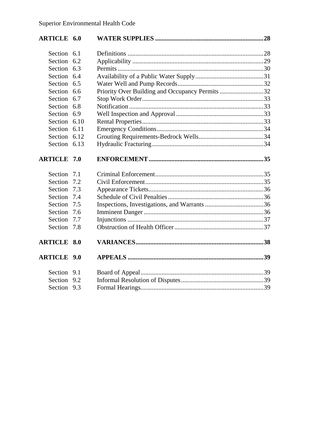| <b>ARTICLE 6.0</b> |                                                 |  |
|--------------------|-------------------------------------------------|--|
| Section 6.1        |                                                 |  |
| Section 6.2        |                                                 |  |
| Section 6.3        |                                                 |  |
| Section 6.4        |                                                 |  |
| Section 6.5        |                                                 |  |
| Section 6.6        | Priority Over Building and Occupancy Permits 32 |  |
| Section 6.7        |                                                 |  |
| Section 6.8        |                                                 |  |
| Section 6.9        |                                                 |  |
| Section 6.10       |                                                 |  |
| Section 6.11       |                                                 |  |
| Section 6.12       |                                                 |  |
| Section 6.13       |                                                 |  |
| <b>ARTICLE 7.0</b> |                                                 |  |
| Section 7.1        |                                                 |  |
| Section 7.2        |                                                 |  |
| Section 7.3        |                                                 |  |
| Section 7.4        |                                                 |  |
| Section 7.5        |                                                 |  |
| Section 7.6        |                                                 |  |
| Section 7.7        |                                                 |  |
| Section 7.8        |                                                 |  |
| <b>ARTICLE 8.0</b> |                                                 |  |
| <b>ARTICLE 9.0</b> |                                                 |  |
| Section 9.1        |                                                 |  |
| Section 9.2        |                                                 |  |
| Section 9.3        |                                                 |  |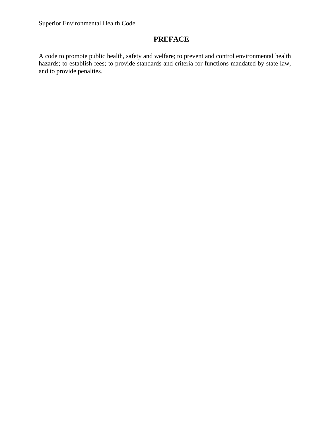# **PREFACE**

A code to promote public health, safety and welfare; to prevent and control environmental health hazards; to establish fees; to provide standards and criteria for functions mandated by state law, and to provide penalties.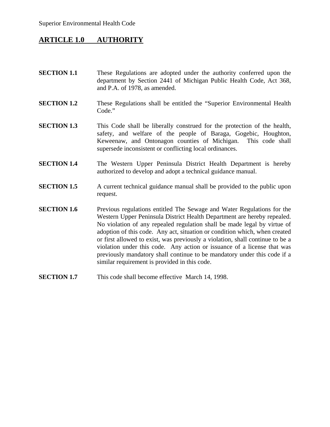# **ARTICLE 1.0 AUTHORITY**

- **SECTION 1.1** These Regulations are adopted under the authority conferred upon the department by Section 2441 of Michigan Public Health Code, Act 368, and P.A. of 1978, as amended.
- **SECTION 1.2** These Regulations shall be entitled the "Superior Environmental Health Code."
- **SECTION 1.3** This Code shall be liberally construed for the protection of the health, safety, and welfare of the people of Baraga, Gogebic, Houghton, Keweenaw, and Ontonagon counties of Michigan. This code shall supersede inconsistent or conflicting local ordinances.
- **SECTION 1.4** The Western Upper Peninsula District Health Department is hereby authorized to develop and adopt a technical guidance manual.
- **SECTION 1.5** A current technical guidance manual shall be provided to the public upon request.
- **SECTION 1.6** Previous regulations entitled The Sewage and Water Regulations for the Western Upper Peninsula District Health Department are hereby repealed. No violation of any repealed regulation shall be made legal by virtue of adoption of this code. Any act, situation or condition which, when created or first allowed to exist, was previously a violation, shall continue to be a violation under this code. Any action or issuance of a license that was previously mandatory shall continue to be mandatory under this code if a similar requirement is provided in this code.
- **SECTION 1.7** This code shall become effective March 14, 1998.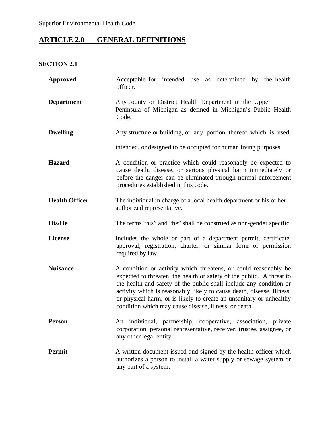# **ARTICLE 2.0 GENERAL DEFINITIONS**

# **SECTION 2.1**

| <b>Approved</b>       | Acceptable for intended use as determined by the health<br>officer.                                                                                                                                                                                                                                                                                                                                                     |  |  |  |  |  |
|-----------------------|-------------------------------------------------------------------------------------------------------------------------------------------------------------------------------------------------------------------------------------------------------------------------------------------------------------------------------------------------------------------------------------------------------------------------|--|--|--|--|--|
| <b>Department</b>     | Any county or District Health Department in the Upper<br>Peninsula of Michigan as defined in Michigan's Public Health<br>Code.                                                                                                                                                                                                                                                                                          |  |  |  |  |  |
| <b>Dwelling</b>       | Any structure or building, or any portion thereof which is used,                                                                                                                                                                                                                                                                                                                                                        |  |  |  |  |  |
|                       | intended, or designed to be occupied for human living purposes.                                                                                                                                                                                                                                                                                                                                                         |  |  |  |  |  |
| <b>Hazard</b>         | A condition or practice which could reasonably be expected to<br>cause death, disease, or serious physical harm immediately or<br>before the danger can be eliminated through normal enforcement<br>procedures established in this code.                                                                                                                                                                                |  |  |  |  |  |
| <b>Health Officer</b> | The individual in charge of a local health department or his or her<br>authorized representative.                                                                                                                                                                                                                                                                                                                       |  |  |  |  |  |
| <b>His/He</b>         | The terms "his" and "he" shall be construed as non-gender specific.                                                                                                                                                                                                                                                                                                                                                     |  |  |  |  |  |
| <b>License</b>        | Includes the whole or part of a department permit, certificate,<br>approval, registration, charter, or similar form of permission<br>required by law.                                                                                                                                                                                                                                                                   |  |  |  |  |  |
| <b>Nuisance</b>       | A condition or activity which threatens, or could reasonably be<br>expected to threaten, the health or safety of the public. A threat to<br>the health and safety of the public shall include any condition or<br>activity which is reasonably likely to cause death, disease, illness,<br>or physical harm, or is likely to create an unsanitary or unhealthy<br>condition which may cause disease, illness, or death. |  |  |  |  |  |
| <b>Person</b>         | An individual, partnership, cooperative, association, private<br>corporation, personal representative, receiver, trustee, assignee, or<br>any other legal entity.                                                                                                                                                                                                                                                       |  |  |  |  |  |
| Permit                | A written document issued and signed by the health officer which<br>authorizes a person to install a water supply or sewage system or<br>any part of a system.                                                                                                                                                                                                                                                          |  |  |  |  |  |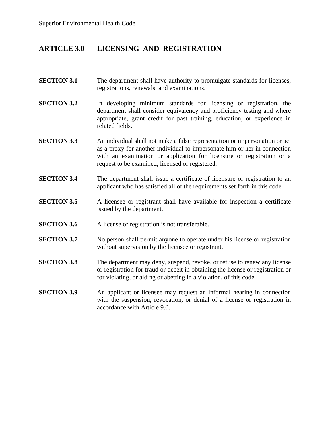# **ARTICLE 3.0 LICENSING AND REGISTRATION**

- **SECTION 3.1** The department shall have authority to promulgate standards for licenses, registrations, renewals, and examinations.
- **SECTION 3.2** In developing minimum standards for licensing or registration, the department shall consider equivalency and proficiency testing and where appropriate, grant credit for past training, education, or experience in related fields.
- **SECTION 3.3** An individual shall not make a false representation or impersonation or act as a proxy for another individual to impersonate him or her in connection with an examination or application for licensure or registration or a request to be examined, licensed or registered.
- **SECTION 3.4** The department shall issue a certificate of licensure or registration to an applicant who has satisfied all of the requirements set forth in this code.
- **SECTION 3.5** A licensee or registrant shall have available for inspection a certificate issued by the department.
- **SECTION 3.6** A license or registration is not transferable.
- **SECTION 3.7** No person shall permit anyone to operate under his license or registration without supervision by the licensee or registrant.
- **SECTION 3.8** The department may deny, suspend, revoke, or refuse to renew any license or registration for fraud or deceit in obtaining the license or registration or for violating, or aiding or abetting in a violation, of this code.
- **SECTION 3.9** An applicant or licensee may request an informal hearing in connection with the suspension, revocation, or denial of a license or registration in accordance with Article 9.0.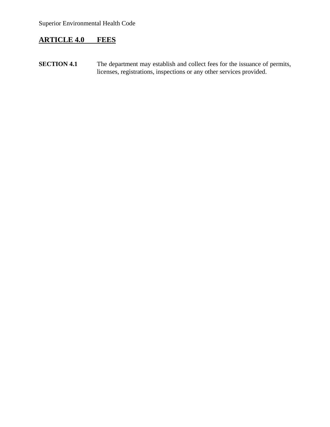# **ARTICLE 4.0 FEES**

**SECTION 4.1** The department may establish and collect fees for the issuance of permits, licenses, registrations, inspections or any other services provided.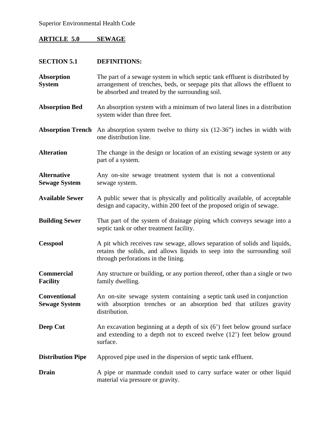# **ARTICLE 5.0 SEWAGE**

| <b>SECTION 5.1</b>                          | <b>DEFINITIONS:</b>                                                                                                                                                                                           |  |  |
|---------------------------------------------|---------------------------------------------------------------------------------------------------------------------------------------------------------------------------------------------------------------|--|--|
| <b>Absorption</b><br><b>System</b>          | The part of a sewage system in which septic tank effluent is distributed by<br>arrangement of trenches, beds, or seepage pits that allows the effluent to<br>be absorbed and treated by the surrounding soil. |  |  |
| <b>Absorption Bed</b>                       | An absorption system with a minimum of two lateral lines in a distribution<br>system wider than three feet.                                                                                                   |  |  |
| <b>Absorption Trench</b>                    | An absorption system twelve to thirty six (12-36") inches in width with<br>one distribution line.                                                                                                             |  |  |
| <b>Alteration</b>                           | The change in the design or location of an existing sewage system or any<br>part of a system.                                                                                                                 |  |  |
| <b>Alternative</b><br><b>Sewage System</b>  | Any on-site sewage treatment system that is not a conventional<br>sewage system.                                                                                                                              |  |  |
| <b>Available Sewer</b>                      | A public sewer that is physically and politically available, of acceptable<br>design and capacity, within 200 feet of the proposed origin of sewage.                                                          |  |  |
| <b>Building Sewer</b>                       | That part of the system of drainage piping which conveys sewage into a<br>septic tank or other treatment facility.                                                                                            |  |  |
| <b>Cesspool</b>                             | A pit which receives raw sewage, allows separation of solids and liquids,<br>retains the solids, and allows liquids to seep into the surrounding soil<br>through perforations in the lining.                  |  |  |
| <b>Commercial</b><br><b>Facility</b>        | Any structure or building, or any portion thereof, other than a single or two<br>family dwelling.                                                                                                             |  |  |
| <b>Conventional</b><br><b>Sewage System</b> | An on-site sewage system containing a septic tank used in conjunction<br>with absorption trenches or an absorption bed that utilizes gravity<br>distribution.                                                 |  |  |
| Deep Cut                                    | An excavation beginning at a depth of six $(6')$ feet below ground surface<br>and extending to a depth not to exceed twelve $(12')$ feet below ground<br>surface.                                             |  |  |
| <b>Distribution Pipe</b>                    | Approved pipe used in the dispersion of septic tank effluent.                                                                                                                                                 |  |  |
| <b>Drain</b>                                | A pipe or manmade conduit used to carry surface water or other liquid<br>material via pressure or gravity.                                                                                                    |  |  |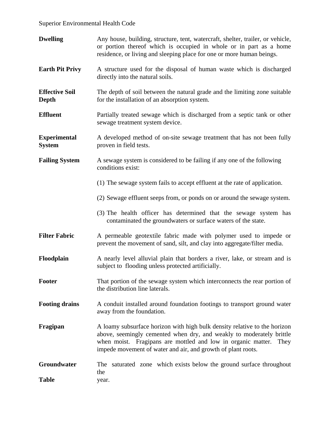| <b>Dwelling</b>                      | Any house, building, structure, tent, watercraft, shelter, trailer, or vehicle,<br>or portion thereof which is occupied in whole or in part as a home<br>residence, or living and sleeping place for one or more human beings.                                                            |  |  |  |
|--------------------------------------|-------------------------------------------------------------------------------------------------------------------------------------------------------------------------------------------------------------------------------------------------------------------------------------------|--|--|--|
| <b>Earth Pit Privy</b>               | A structure used for the disposal of human waste which is discharged<br>directly into the natural soils.                                                                                                                                                                                  |  |  |  |
| <b>Effective Soil</b><br>Depth       | The depth of soil between the natural grade and the limiting zone suitable<br>for the installation of an absorption system.                                                                                                                                                               |  |  |  |
| <b>Effluent</b>                      | Partially treated sewage which is discharged from a septic tank or other<br>sewage treatment system device.                                                                                                                                                                               |  |  |  |
| <b>Experimental</b><br><b>System</b> | A developed method of on-site sewage treatment that has not been fully<br>proven in field tests.                                                                                                                                                                                          |  |  |  |
| <b>Failing System</b>                | A sewage system is considered to be failing if any one of the following<br>conditions exist:                                                                                                                                                                                              |  |  |  |
|                                      | (1) The sewage system fails to accept effluent at the rate of application.                                                                                                                                                                                                                |  |  |  |
|                                      | (2) Sewage effluent seeps from, or ponds on or around the sewage system.                                                                                                                                                                                                                  |  |  |  |
|                                      | (3) The health officer has determined that the sewage system has<br>contaminated the groundwaters or surface waters of the state.                                                                                                                                                         |  |  |  |
| <b>Filter Fabric</b>                 | A permeable geotextile fabric made with polymer used to impede or<br>prevent the movement of sand, silt, and clay into aggregate/filter media.                                                                                                                                            |  |  |  |
| Floodplain                           | A nearly level alluvial plain that borders a river, lake, or stream and is<br>subject to flooding unless protected artificially.                                                                                                                                                          |  |  |  |
| Footer                               | That portion of the sewage system which interconnects the rear portion of<br>the distribution line laterals.                                                                                                                                                                              |  |  |  |
| <b>Footing drains</b>                | A conduit installed around foundation footings to transport ground water<br>away from the foundation.                                                                                                                                                                                     |  |  |  |
| Fragipan                             | A loamy subsurface horizon with high bulk density relative to the horizon<br>above, seemingly cemented when dry, and weakly to moderately brittle<br>when moist. Fragipans are mottled and low in organic matter.<br>They<br>impede movement of water and air, and growth of plant roots. |  |  |  |
| Groundwater                          | saturated zone which exists below the ground surface throughout<br>The<br>the                                                                                                                                                                                                             |  |  |  |
| <b>Table</b>                         | year.                                                                                                                                                                                                                                                                                     |  |  |  |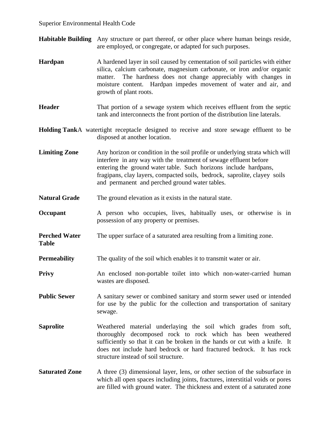**Table** 

- **Habitable Building** Any structure or part thereof, or other place where human beings reside, are employed, or congregate, or adapted for such purposes.
- **Hardpan** A hardened layer in soil caused by cementation of soil particles with either silica, calcium carbonate, magnesium carbonate, or iron and/or organic matter. The hardness does not change appreciably with changes in moisture content. Hardpan impedes movement of water and air, and growth of plant roots.
- **Header That portion of a sewage system which receives effluent from the septic** tank and interconnects the front portion of the distribution line laterals.
- **Holding TankA** watertight receptacle designed to receive and store sewage effluent to be disposed at another location.
- **Limiting Zone** Any horizon or condition in the soil profile or underlying strata which will interfere in any way with the treatment of sewage effluent before entering the ground water table. Such horizons include hardpans, fragipans, clay layers, compacted soils, bedrock, saprolite, clayey soils and permanent and perched ground water tables.
- **Natural Grade** The ground elevation as it exists in the natural state.
- **Occupant** A person who occupies, lives, habitually uses, or otherwise is in possession of any property or premises.
- **Perched Water** The upper surface of a saturated area resulting from a limiting zone.
- **Permeability** The quality of the soil which enables it to transmit water or air.
- **Privy** An enclosed non-portable toilet into which non-water-carried human wastes are disposed.
- **Public Sewer** A sanitary sewer or combined sanitary and storm sewer used or intended for use by the public for the collection and transportation of sanitary sewage.
- **Saprolite** Weathered material underlaying the soil which grades from soft, thoroughly decomposed rock to rock which has been weathered sufficiently so that it can be broken in the hands or cut with a knife. It does not include hard bedrock or hard fractured bedrock. It has rock structure instead of soil structure.
- **Saturated Zone** A three (3) dimensional layer, lens, or other section of the subsurface in which all open spaces including joints, fractures, interstitial voids or pores are filled with ground water. The thickness and extent of a saturated zone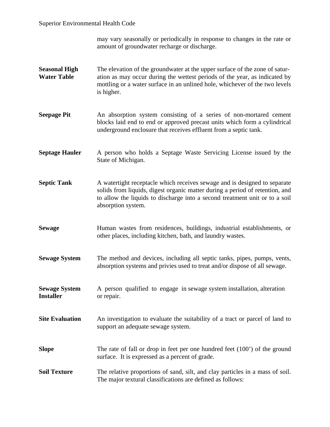may vary seasonally or periodically in response to changes in the rate or amount of groundwater recharge or discharge.

- **Seasonal High** The elevation of the groundwater at the upper surface of the zone of satur-**Water Table ation as may occur during the wettest periods of the year, as indicated by** mottling or a water surface in an unlined hole, whichever of the two levels is higher.
- **Seepage Pit** An absorption system consisting of a series of non-mortared cement blocks laid end to end or approved precast units which form a cylindrical underground enclosure that receives effluent from a septic tank.
- **Septage Hauler** A person who holds a Septage Waste Servicing License issued by the State of Michigan.
- **Septic Tank** A watertight receptacle which receives sewage and is designed to separate solids from liquids, digest organic matter during a period of retention, and to allow the liquids to discharge into a second treatment unit or to a soil absorption system.
- **Sewage Human** wastes from residences, buildings, industrial establishments, or other places, including kitchen, bath, and laundry wastes.
- **Sewage System** The method and devices, including all septic tanks, pipes, pumps, vents, absorption systems and privies used to treat and/or dispose of all sewage.
- **Sewage System** A person qualified to engage in sewage system installation, alteration Installer or repair.
- **Site Evaluation** An investigation to evaluate the suitability of a tract or parcel of land to support an adequate sewage system.
- **Slope** The rate of fall or drop in feet per one hundred feet (100') of the ground surface. It is expressed as a percent of grade.
- **Soil Texture** The relative proportions of sand, silt, and clay particles in a mass of soil. The major textural classifications are defined as follows: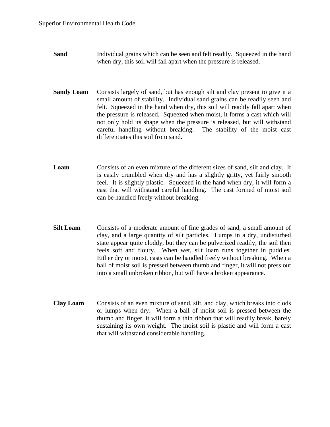- **Sand Individual grains which can be seen and felt readily.** Squeezed in the hand when dry, this soil will fall apart when the pressure is released.
- **Sandy Loam** Consists largely of sand, but has enough silt and clay present to give it a small amount of stability. Individual sand grains can be readily seen and felt. Squeezed in the hand when dry, this soil will readily fall apart when the pressure is released. Squeezed when moist, it forms a cast which will not only hold its shape when the pressure is released, but will withstand careful handling without breaking. The stability of the moist cast differentiates this soil from sand.
- **Loam** Consists of an even mixture of the different sizes of sand, silt and clay. It is easily crumbled when dry and has a slightly gritty, yet fairly smooth feel. It is slightly plastic. Squeezed in the hand when dry, it will form a cast that will withstand careful handling. The cast formed of moist soil can be handled freely without breaking.
- **Silt Loam** Consists of a moderate amount of fine grades of sand, a small amount of clay, and a large quantity of silt particles. Lumps in a dry, undisturbed state appear quite cloddy, but they can be pulverized readily; the soil then feels soft and floury. When wet, silt loam runs together in puddles. Either dry or moist, casts can be handled freely without breaking. When a ball of moist soil is pressed between thumb and finger, it will not press out into a small unbroken ribbon, but will have a broken appearance.
- **Clay Loam** Consists of an even mixture of sand, silt, and clay, which breaks into clods or lumps when dry. When a ball of moist soil is pressed between the thumb and finger, it will form a thin ribbon that will readily break, barely sustaining its own weight. The moist soil is plastic and will form a cast that will withstand considerable handling.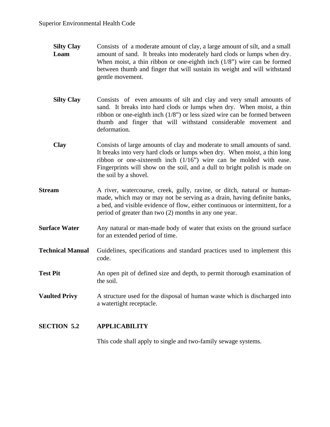- **Silty Clay** Consists of a moderate amount of clay, a large amount of silt, and a small **Loam** amount of sand. It breaks into moderately hard clods or lumps when dry. When moist, a thin ribbon or one-eighth inch (1/8") wire can be formed between thumb and finger that will sustain its weight and will withstand gentle movement.
- **Silty Clay** Consists of even amounts of silt and clay and very small amounts of sand. It breaks into hard clods or lumps when dry. When moist, a thin ribbon or one-eighth inch (1/8") or less sized wire can be formed between thumb and finger that will withstand considerable movement and deformation.
- **Clay** Consists of large amounts of clay and moderate to small amounts of sand. It breaks into very hard clods or lumps when dry. When moist, a thin long ribbon or one-sixteenth inch (1/16") wire can be molded with ease. Fingerprints will show on the soil, and a dull to bright polish is made on the soil by a shovel.
- **Stream** A river, watercourse, creek, gully, ravine, or ditch, natural or humanmade, which may or may not be serving as a drain, having definite banks, a bed, and visible evidence of flow, either continuous or intermittent, for a period of greater than two (2) months in any one year.
- **Surface Water** Any natural or man-made body of water that exists on the ground surface for an extended period of time.
- **Technical Manual** Guidelines, specifications and standard practices used to implement this code.
- **Test Pit** An open pit of defined size and depth, to permit thorough examination of the soil.
- **Vaulted Privy** A structure used for the disposal of human waste which is discharged into a watertight receptacle.

# **SECTION 5.2 APPLICABILITY**

This code shall apply to single and two-family sewage systems.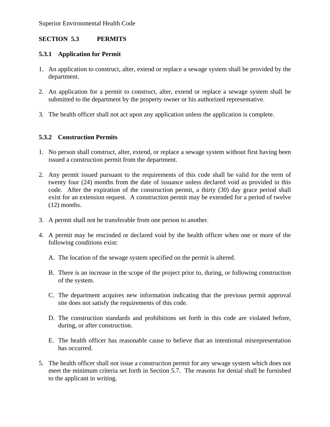# **SECTION 5.3 PERMITS**

# **5.3.1 Application for Permit**

- 1. An application to construct, alter, extend or replace a sewage system shall be provided by the department.
- 2. An application for a permit to construct, alter, extend or replace a sewage system shall be submitted to the department by the property owner or his authorized representative.
- 3. The health officer shall not act upon any application unless the application is complete.

# **5.3.2 Construction Permits**

- 1. No person shall construct, alter, extend, or replace a sewage system without first having been issued a construction permit from the department.
- 2. Any permit issued pursuant to the requirements of this code shall be valid for the term of twenty four (24) months from the date of issuance unless declared void as provided in this code. After the expiration of the construction permit, a thirty (30) day grace period shall exist for an extension request. A construction permit may be extended for a period of twelve (12) months.
- 3. A permit shall not be transferable from one person to another.
- 4. A permit may be rescinded or declared void by the health officer when one or more of the following conditions exist:
	- A. The location of the sewage system specified on the permit is altered.
	- B. There is an increase in the scope of the project prior to, during, or following construction of the system.
	- C. The department acquires new information indicating that the previous permit approval site does not satisfy the requirements of this code.
	- D. The construction standards and prohibitions set forth in this code are violated before, during, or after construction.
	- E. The health officer has reasonable cause to believe that an intentional misrepresentation has occurred.
- 5. The health officer shall not issue a construction permit for any sewage system which does not meet the minimum criteria set forth in Section 5.7. The reasons for denial shall be furnished to the applicant in writing.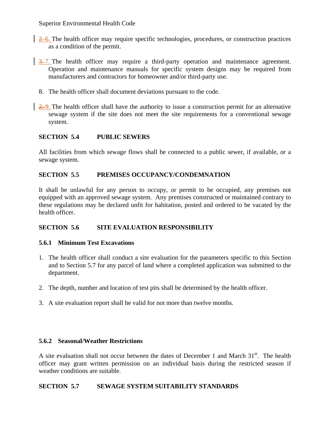- 2.6. The health officer may require specific technologies, procedures, or construction practices as a condition of the permit.
- $\frac{3.7}{1}$ . The health officer may require a third-party operation and maintenance agreement. Operation and maintenance manuals for specific system designs may be required from manufacturers and contractors for homeowner and/or third-party use.
	- 8. The health officer shall document deviations pursuant to the code.
- 2. 9. The health officer shall have the authority to issue a construction permit for an alternative sewage system if the site does not meet the site requirements for a conventional sewage system.

# **SECTION 5.4 PUBLIC SEWERS**

All facilities from which sewage flows shall be connected to a public sewer, if available, or a sewage system.

# **SECTION 5.5 PREMISES OCCUPANCY/CONDEMNATION**

It shall be unlawful for any person to occupy, or permit to be occupied, any premises not equipped with an approved sewage system. Any premises constructed or maintained contrary to these regulations may be declared unfit for habitation, posted and ordered to be vacated by the health officer.

# **SECTION 5.6 SITE EVALUATION RESPONSIBILITY**

## **5.6.1 Minimum Test Excavations**

- 1. The health officer shall conduct a site evaluation for the parameters specific to this Section and to Section 5.7 for any parcel of land where a completed application was submitted to the department.
- 2. The depth, number and location of test pits shall be determined by the health officer.
- 3. A site evaluation report shall be valid for not more than twelve months.

## **5.6.2 Seasonal/Weather Restrictions**

A site evaluation shall not occur between the dates of December 1 and March  $31<sup>st</sup>$ . The health officer may grant written permission on an individual basis during the restricted season if weather conditions are suitable.

## **SECTION 5.7 SEWAGE SYSTEM SUITABILITY STANDARDS**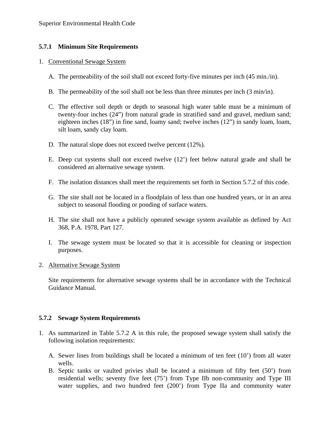# **5.7.1 Minimum Site Requirements**

#### 1. Conventional Sewage System

- A. The permeability of the soil shall not exceed forty-five minutes per inch (45 min./in).
- B. The permeability of the soil shall not be less than three minutes per inch (3 min/in).
- C. The effective soil depth or depth to seasonal high water table must be a minimum of twenty-four inches (24") from natural grade in stratified sand and gravel, medium sand; eighteen inches (18") in fine sand, loamy sand; twelve inches (12") in sandy loam, loam, silt loam, sandy clay loam.
- D. The natural slope does not exceed twelve percent (12%).
- E. Deep cut systems shall not exceed twelve (12') feet below natural grade and shall be considered an alternative sewage system.
- F. The isolation distances shall meet the requirements set forth in Section 5.7.2 of this code.
- G. The site shall not be located in a floodplain of less than one hundred years, or in an area subject to seasonal flooding or ponding of surface waters.
- H. The site shall not have a publicly operated sewage system available as defined by Act 368, P.A. 1978, Part 127.
- I. The sewage system must be located so that it is accessible for cleaning or inspection purposes.

## 2. Alternative Sewage System

 Site requirements for alternative sewage systems shall be in accordance with the Technical Guidance Manual.

## **5.7.2 Sewage System Requirements**

- 1. As summarized in Table 5.7.2 A in this rule, the proposed sewage system shall satisfy the following isolation requirements:
	- A. Sewer lines from buildings shall be located a minimum of ten feet (10') from all water wells.
	- B. Septic tanks or vaulted privies shall be located a minimum of fifty feet (50') from residential wells; seventy five feet (75') from Type IIb non-community and Type III water supplies, and two hundred feet (200') from Type IIa and community water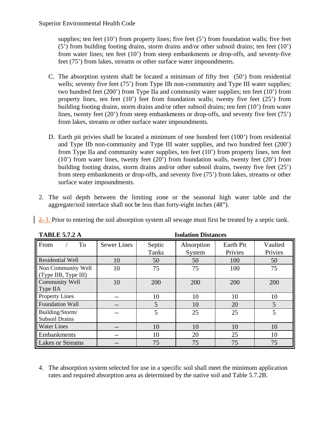supplies; ten feet (10') from property lines; five feet (5') from foundation walls; five feet (5') from building footing drains, storm drains and/or other subsoil drains; ten feet (10') from water lines; ten feet (10') from steep embankments or drop-offs, and seventy-five feet (75') from lakes, streams or other surface water impoundments.

- C. The absorption system shall be located a minimum of fifty feet (50') from residential wells; seventy five feet (75<sup>\*</sup>) from Type IIb non-community and Type III water supplies; two hundred feet (200') from Type IIa and community water supplies; ten feet (10') from property lines, ten feet (10') feet from foundation walls; twenty five feet (25') from building footing drains, storm drains and/or other subsoil drains; ten feet (10') from water lines, twenty feet (20') from steep embankments or drop-offs, and seventy five feet (75') from lakes, streams or other surface water impoundments.
- D. Earth pit privies shall be located a minimum of one hundred feet (100') from residential and Type IIb non-community and Type III water supplies, and two hundred feet (200') from Type IIa and community water supplies, ten feet (10') from property lines, ten feet (10') from water lines, twenty feet (20') from foundation walls, twenty feet (20') from building footing drains, storm drains and/or other subsoil drains, twenty five feet (25') from steep embankments or drop-offs, and seventy five (75') from lakes, streams or other surface water impoundments.
- 2. The soil depth between the limiting zone or the seasonal high water table and the aggregate/soil interface shall not be less than forty-eight inches (48").

| <b>TABLE 5.7.2 A</b>                       | <b>Isolation Distances</b> |                 |                      |                      |                    |
|--------------------------------------------|----------------------------|-----------------|----------------------|----------------------|--------------------|
| To<br>From                                 | <b>Sewer Lines</b>         | Septic<br>Tanks | Absorption<br>System | Earth Pit<br>Privies | Vaulted<br>Privies |
| Residential Well                           | 10                         | 50              | 50                   | 100                  | 50                 |
| Non Community Well<br>(Type IIB, Type III) | 10                         | 75              | 75                   | 100                  | 75                 |
| Community Well<br>Type IIA                 | 10                         | 200             | 200                  | 200                  | 200                |
| <b>Property Lines</b>                      |                            | 10              | 10                   | 10                   | 10                 |
| <b>Foundation Wall</b>                     | --                         | 5               | 10                   | 20                   | 5                  |
| Building/Storm/<br><b>Subsoil Drains</b>   |                            | 5               | 25                   | 25                   | 5                  |
| <b>Water Lines</b>                         |                            | 10              | 10                   | 10                   | 10                 |
| Embankments                                |                            | 10              | 20                   | 25                   | 10                 |
| <b>Lakes or Streams</b>                    |                            | 75              | 75                   | 75                   | 75                 |

2. 3. Prior to entering the soil absorption system all sewage must first be treated by a septic tank.

4. The absorption system selected for use in a specific soil shall meet the minimum application rates and required absorption area as determined by the native soil and Table 5.7.2B.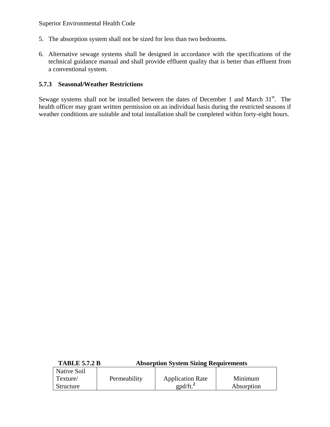- 5. The absorption system shall not be sized for less than two bedrooms.
- 6. Alternative sewage systems shall be designed in accordance with the specifications of the technical guidance manual and shall provide effluent quality that is better than effluent from a conventional system.

#### **5.7.3 Seasonal/Weather Restrictions**

Sewage systems shall not be installed between the dates of December 1 and March  $31<sup>st</sup>$ . The health officer may grant written permission on an individual basis during the restricted seasons if weather conditions are suitable and total installation shall be completed within forty-eight hours.

|--|

| Native Soil      |              |                         |            |
|------------------|--------------|-------------------------|------------|
| Texture/         | Permeability | <b>Application Rate</b> | Minimum    |
| <b>Structure</b> |              | $\text{gpd/ft.}^2$      | Absorption |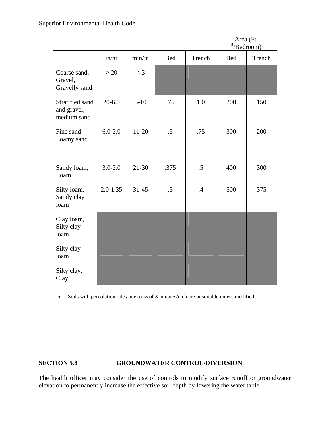|                                               |              |           |           |               | Area (Ft.<br>2/Bedroom) |        |
|-----------------------------------------------|--------------|-----------|-----------|---------------|-------------------------|--------|
|                                               | in/hr        | min/in    | Bed       | Trench        | <b>Bed</b>              | Trench |
| Coarse sand,<br>Gravel,<br>Gravelly sand      | >20          | $<$ 3     |           |               |                         |        |
| Stratified sand<br>and gravel,<br>medium sand | $20 - 6.0$   | $3-10$    | .75       | 1.0           | 200                     | 150    |
| Fine sand<br>Loamy sand                       | $6.0 - 3.0$  | $11-20$   | $.5\,$    | .75           | 300                     | 200    |
| Sandy loam,<br>Loam                           | $3.0 - 2.0$  | $21 - 30$ | .375      | $.5\,$        | 400                     | 300    |
| Silty loam,<br>Sandy clay<br>loam             | $2.0 - 1.35$ | $31 - 45$ | $\cdot$ 3 | $\mathcal{A}$ | 500                     | 375    |
| Clay loam,<br>Silty clay<br>loam              |              |           |           |               |                         |        |
| Silty clay<br>loam                            |              |           |           |               |                         |        |
| Silty clay,<br>Clay                           |              |           |           |               |                         |        |

• Soils with percolation rates in excess of 3 minutes/inch are unsuitable unless modified.

# **SECTION 5.8 GROUNDWATER CONTROL/DIVERSION**

The health officer may consider the use of controls to modify surface runoff or groundwater elevation to permanently increase the effective soil depth by lowering the water table.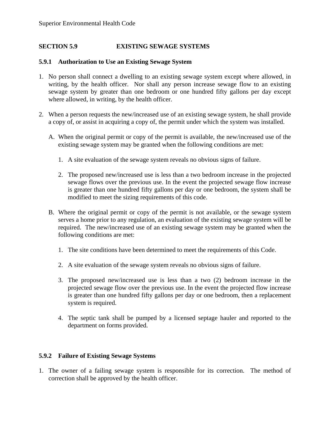## **SECTION 5.9 EXISTING SEWAGE SYSTEMS**

#### **5.9.1 Authorization to Use an Existing Sewage System**

- 1. No person shall connect a dwelling to an existing sewage system except where allowed, in writing, by the health officer. Nor shall any person increase sewage flow to an existing sewage system by greater than one bedroom or one hundred fifty gallons per day except where allowed, in writing, by the health officer.
- 2. When a person requests the new/increased use of an existing sewage system, he shall provide a copy of, or assist in acquiring a copy of, the permit under which the system was installed.
	- A. When the original permit or copy of the permit is available, the new/increased use of the existing sewage system may be granted when the following conditions are met:
		- 1. A site evaluation of the sewage system reveals no obvious signs of failure.
		- 2. The proposed new/increased use is less than a two bedroom increase in the projected sewage flows over the previous use. In the event the projected sewage flow increase is greater than one hundred fifty gallons per day or one bedroom, the system shall be modified to meet the sizing requirements of this code.
	- B. Where the original permit or copy of the permit is not available, or the sewage system serves a home prior to any regulation, an evaluation of the existing sewage system will be required. The new/increased use of an existing sewage system may be granted when the following conditions are met:
		- 1. The site conditions have been determined to meet the requirements of this Code.
		- 2. A site evaluation of the sewage system reveals no obvious signs of failure.
		- 3. The proposed new/increased use is less than a two (2) bedroom increase in the projected sewage flow over the previous use. In the event the projected flow increase is greater than one hundred fifty gallons per day or one bedroom, then a replacement system is required.
		- 4. The septic tank shall be pumped by a licensed septage hauler and reported to the department on forms provided.

#### **5.9.2 Failure of Existing Sewage Systems**

1. The owner of a failing sewage system is responsible for its correction. The method of correction shall be approved by the health officer.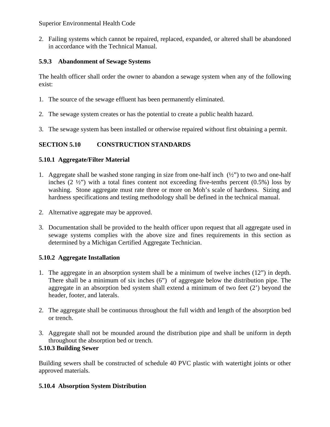2. Failing systems which cannot be repaired, replaced, expanded, or altered shall be abandoned in accordance with the Technical Manual.

# **5.9.3 Abandonment of Sewage Systems**

The health officer shall order the owner to abandon a sewage system when any of the following exist:

- 1. The source of the sewage effluent has been permanently eliminated.
- 2. The sewage system creates or has the potential to create a public health hazard.
- 3. The sewage system has been installed or otherwise repaired without first obtaining a permit.

# **SECTION 5.10 CONSTRUCTION STANDARDS**

# **5.10.1 Aggregate/Filter Material**

- 1. Aggregate shall be washed stone ranging in size from one-half inch  $(\frac{1}{2})$  to two and one-half inches  $(2 \frac{1}{2})$  with a total fines content not exceeding five-tenths percent  $(0.5\%)$  loss by washing. Stone aggregate must rate three or more on Moh's scale of hardness. Sizing and hardness specifications and testing methodology shall be defined in the technical manual.
- 2. Alternative aggregate may be approved.
- 3. Documentation shall be provided to the health officer upon request that all aggregate used in sewage systems complies with the above size and fines requirements in this section as determined by a Michigan Certified Aggregate Technician.

## **5.10.2 Aggregate Installation**

- 1. The aggregate in an absorption system shall be a minimum of twelve inches (12") in depth. There shall be a minimum of six inches (6") of aggregate below the distribution pipe. The aggregate in an absorption bed system shall extend a minimum of two feet (2') beyond the header, footer, and laterals.
- 2. The aggregate shall be continuous throughout the full width and length of the absorption bed or trench.
- 3. Aggregate shall not be mounded around the distribution pipe and shall be uniform in depth throughout the absorption bed or trench.

# **5.10.3 Building Sewer**

Building sewers shall be constructed of schedule 40 PVC plastic with watertight joints or other approved materials.

# **5.10.4 Absorption System Distribution**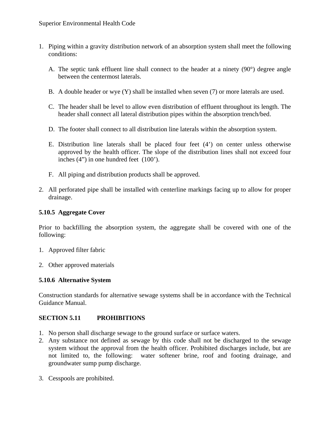- 1. Piping within a gravity distribution network of an absorption system shall meet the following conditions:
	- A. The septic tank effluent line shall connect to the header at a ninety (90°) degree angle between the centermost laterals.
	- B. A double header or wye (Y) shall be installed when seven (7) or more laterals are used.
	- C. The header shall be level to allow even distribution of effluent throughout its length. The header shall connect all lateral distribution pipes within the absorption trench/bed.
	- D. The footer shall connect to all distribution line laterals within the absorption system.
	- E. Distribution line laterals shall be placed four feet (4') on center unless otherwise approved by the health officer. The slope of the distribution lines shall not exceed four inches (4") in one hundred feet (100').
	- F. All piping and distribution products shall be approved.
- 2. All perforated pipe shall be installed with centerline markings facing up to allow for proper drainage.

#### **5.10.5 Aggregate Cover**

Prior to backfilling the absorption system, the aggregate shall be covered with one of the following:

- 1. Approved filter fabric
- 2. Other approved materials

## **5.10.6 Alternative System**

Construction standards for alternative sewage systems shall be in accordance with the Technical Guidance Manual.

## **SECTION 5.11 PROHIBITIONS**

- 1. No person shall discharge sewage to the ground surface or surface waters.
- 2. Any substance not defined as sewage by this code shall not be discharged to the sewage system without the approval from the health officer. Prohibited discharges include, but are not limited to, the following: water softener brine, roof and footing drainage, and groundwater sump pump discharge.
- 3. Cesspools are prohibited.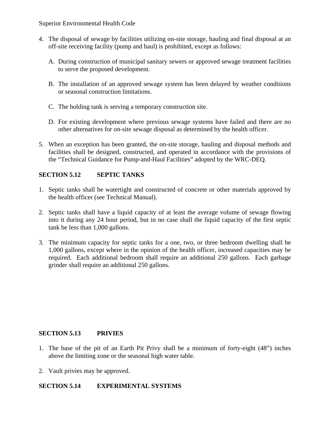- 4. The disposal of sewage by facilities utilizing on-site storage, hauling and final disposal at an off-site receiving facility (pump and haul) is prohibited, except as follows:
	- A. During construction of municipal sanitary sewers or approved sewage treatment facilities to serve the proposed development.
	- B. The installation of an approved sewage system has been delayed by weather conditions or seasonal construction limitations.
	- C. The holding tank is serving a temporary construction site.
	- D. For existing development where previous sewage systems have failed and there are no other alternatives for on-site sewage disposal as determined by the health officer.
- 5. When an exception has been granted, the on-site storage, hauling and disposal methods and facilities shall be designed, constructed, and operated in accordance with the provisions of the "Technical Guidance for Pump-and-Haul Facilities" adopted by the WRC-DEQ.

# **SECTION 5.12 SEPTIC TANKS**

- 1. Septic tanks shall be watertight and constructed of concrete or other materials approved by the health officer (see Technical Manual).
- 2. Septic tanks shall have a liquid capacity of at least the average volume of sewage flowing into it during any 24 hour period, but in no case shall the liquid capacity of the first septic tank be less than 1,000 gallons.
- 3. The minimum capacity for septic tanks for a one, two, or three bedroom dwelling shall be 1,000 gallons, except where in the opinion of the health officer, increased capacities may be required. Each additional bedroom shall require an additional 250 gallons. Each garbage grinder shall require an additional 250 gallons.

## **SECTION 5.13 PRIVIES**

- 1. The base of the pit of an Earth Pit Privy shall be a minimum of forty-eight (48") inches above the limiting zone or the seasonal high water table.
- 2. Vault privies may be approved.

## **SECTION 5.14 EXPERIMENTAL SYSTEMS**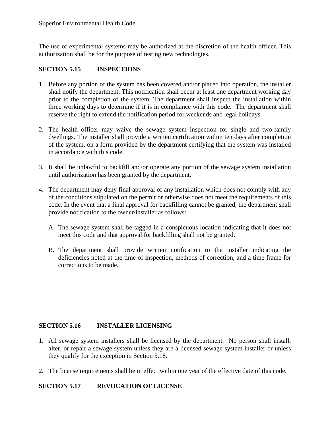The use of experimental systems may be authorized at the discretion of the health officer. This authorization shall be for the purpose of testing new technologies.

# **SECTION 5.15 INSPECTIONS**

- 1. Before any portion of the system has been covered and/or placed into operation, the installer shall notify the department. This notification shall occur at least one department working day prior to the completion of the system. The department shall inspect the installation within three working days to determine if it is in compliance with this code. The department shall reserve the right to extend the notification period for weekends and legal holidays.
- 2. The health officer may waive the sewage system inspection for single and two-family dwellings. The installer shall provide a written certification within ten days after completion of the system, on a form provided by the department certifying that the system was installed in accordance with this code.
- 3. It shall be unlawful to backfill and/or operate any portion of the sewage system installation until authorization has been granted by the department.
- 4. The department may deny final approval of any installation which does not comply with any of the conditions stipulated on the permit or otherwise does not meet the requirements of this code. In the event that a final approval for backfilling cannot be granted, the department shall provide notification to the owner/installer as follows:
	- A. The sewage system shall be tagged in a conspicuous location indicating that it does not meet this code and that approval for backfilling shall not be granted.
	- B. The department shall provide written notification to the installer indicating the deficiencies noted at the time of inspection, methods of correction, and a time frame for corrections to be made.

# **SECTION 5.16 INSTALLER LICENSING**

- 1. All sewage system installers shall be licensed by the department. No person shall install, alter, or repair a sewage system unless they are a licensed sewage system installer or unless they qualify for the exception in Section 5.18.
- 2. The license requirements shall be in effect within one year of the effective date of this code.

# **SECTION 5.17 REVOCATION OF LICENSE**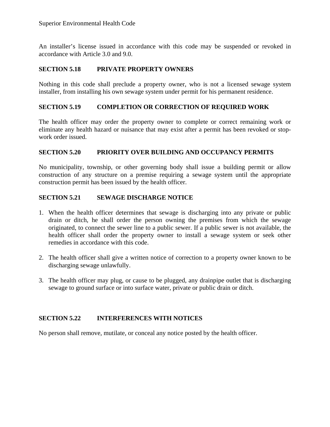An installer's license issued in accordance with this code may be suspended or revoked in accordance with Article 3.0 and 9.0.

# **SECTION 5.18 PRIVATE PROPERTY OWNERS**

Nothing in this code shall preclude a property owner, who is not a licensed sewage system installer, from installing his own sewage system under permit for his permanent residence.

#### **SECTION 5.19 COMPLETION OR CORRECTION OF REQUIRED WORK**

The health officer may order the property owner to complete or correct remaining work or eliminate any health hazard or nuisance that may exist after a permit has been revoked or stopwork order issued.

## **SECTION 5.20 PRIORITY OVER BUILDING AND OCCUPANCY PERMITS**

No municipality, township, or other governing body shall issue a building permit or allow construction of any structure on a premise requiring a sewage system until the appropriate construction permit has been issued by the health officer.

#### **SECTION 5.21 SEWAGE DISCHARGE NOTICE**

- 1. When the health officer determines that sewage is discharging into any private or public drain or ditch, he shall order the person owning the premises from which the sewage originated, to connect the sewer line to a public sewer. If a public sewer is not available, the health officer shall order the property owner to install a sewage system or seek other remedies in accordance with this code.
- 2. The health officer shall give a written notice of correction to a property owner known to be discharging sewage unlawfully.
- 3. The health officer may plug, or cause to be plugged, any drainpipe outlet that is discharging sewage to ground surface or into surface water, private or public drain or ditch.

## **SECTION 5.22 INTERFERENCES WITH NOTICES**

No person shall remove, mutilate, or conceal any notice posted by the health officer.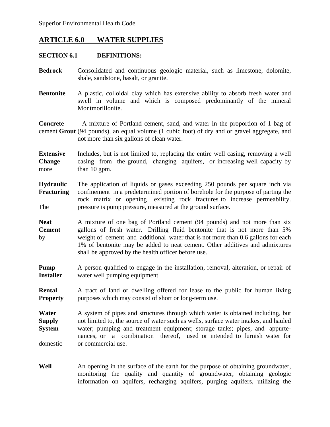# **ARTICLE 6.0 WATER SUPPLIES**

#### **SECTION 6.1 DEFINITIONS:**

- **Bedrock** Consolidated and continuous geologic material, such as limestone, dolomite, shale, sandstone, basalt, or granite.
- **Bentonite** A plastic, colloidal clay which has extensive ability to absorb fresh water and swell in volume and which is composed predominantly of the mineral Montmorillonite.

**Concrete** A mixture of Portland cement, sand, and water in the proportion of 1 bag of cement **Grout** (94 pounds), an equal volume (1 cubic foot) of dry and or gravel aggregate, and not more than six gallons of clean water.

**Extensive** Includes, but is not limited to, replacing the entire well casing, removing a well **Change** casing from the ground, changing aquifers, or increasing well capacity by more than 10 gpm.

**Hydraulic** The application of liquids or gases exceeding 250 pounds per square inch via **Fracturing** confinement in a predetermined portion of borehole for the purpose of parting the rock matrix or opening existing rock fractures to increase permeability. The pressure is pump pressure, measured at the ground surface.

Neat **A** mixture of one bag of Portland cement (94 pounds) and not more than six **Cement** gallons of fresh water. Drilling fluid bentonite that is not more than 5% by weight of cement and additional water that is not more than 0.6 gallons for each 1% of bentonite may be added to neat cement. Other additives and admixtures shall be approved by the health officer before use.

**Pump** A person qualified to engage in the installation, removal, alteration, or repair of **Installer** water well pumping equipment.

**Rental** A tract of land or dwelling offered for lease to the public for human living **Property** purposes which may consist of short or long-term use.

**Water** A system of pipes and structures through which water is obtained including, but **Supply** not limited to, the source of water such as wells, surface water intakes, and hauled **System** water; pumping and treatment equipment; storage tanks; pipes, and appurte nances, or a combination thereof, used or intended to furnish water for domestic or commercial use.

**Well** An opening in the surface of the earth for the purpose of obtaining groundwater, monitoring the quality and quantity of groundwater, obtaining geologic information on aquifers, recharging aquifers, purging aquifers, utilizing the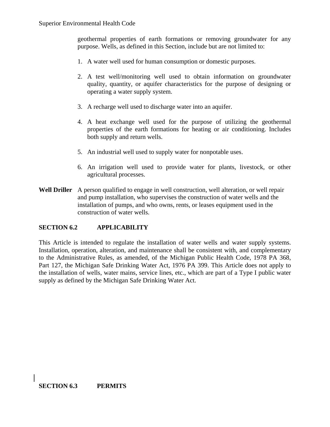geothermal properties of earth formations or removing groundwater for any purpose. Wells, as defined in this Section, include but are not limited to:

- 1. A water well used for human consumption or domestic purposes.
- 2. A test well/monitoring well used to obtain information on groundwater quality, quantity, or aquifer characteristics for the purpose of designing or operating a water supply system.
- 3. A recharge well used to discharge water into an aquifer.
- 4. A heat exchange well used for the purpose of utilizing the geothermal properties of the earth formations for heating or air conditioning. Includes both supply and return wells.
- 5. An industrial well used to supply water for nonpotable uses.
- 6. An irrigation well used to provide water for plants, livestock, or other agricultural processes.
- **Well Driller** A person qualified to engage in well construction, well alteration, or well repair and pump installation, who supervises the construction of water wells and the installation of pumps, and who owns, rents, or leases equipment used in the construction of water wells.

## **SECTION 6.2 APPLICABILITY**

This Article is intended to regulate the installation of water wells and water supply systems. Installation, operation, alteration, and maintenance shall be consistent with, and complementary to the Administrative Rules, as amended, of the Michigan Public Health Code, 1978 PA 368, Part 127, the Michigan Safe Drinking Water Act, 1976 PA 399. This Article does not apply to the installation of wells, water mains, service lines, etc., which are part of a Type I public water supply as defined by the Michigan Safe Drinking Water Act.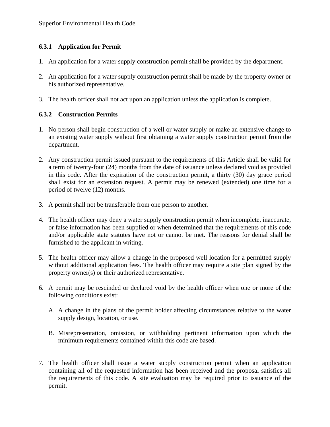# **6.3.1 Application for Permit**

- 1. An application for a water supply construction permit shall be provided by the department.
- 2. An application for a water supply construction permit shall be made by the property owner or his authorized representative.
- 3. The health officer shall not act upon an application unless the application is complete.

## **6.3.2 Construction Permits**

- 1. No person shall begin construction of a well or water supply or make an extensive change to an existing water supply without first obtaining a water supply construction permit from the department.
- 2. Any construction permit issued pursuant to the requirements of this Article shall be valid for a term of twenty-four (24) months from the date of issuance unless declared void as provided in this code. After the expiration of the construction permit, a thirty (30) day grace period shall exist for an extension request. A permit may be renewed (extended) one time for a period of twelve (12) months.
- 3. A permit shall not be transferable from one person to another.
- 4. The health officer may deny a water supply construction permit when incomplete, inaccurate, or false information has been supplied or when determined that the requirements of this code and/or applicable state statutes have not or cannot be met. The reasons for denial shall be furnished to the applicant in writing.
- 5. The health officer may allow a change in the proposed well location for a permitted supply without additional application fees. The health officer may require a site plan signed by the property owner(s) or their authorized representative.
- 6. A permit may be rescinded or declared void by the health officer when one or more of the following conditions exist:
	- A. A change in the plans of the permit holder affecting circumstances relative to the water supply design, location, or use.
	- B. Misrepresentation, omission, or withholding pertinent information upon which the minimum requirements contained within this code are based.
- 7. The health officer shall issue a water supply construction permit when an application containing all of the requested information has been received and the proposal satisfies all the requirements of this code. A site evaluation may be required prior to issuance of the permit.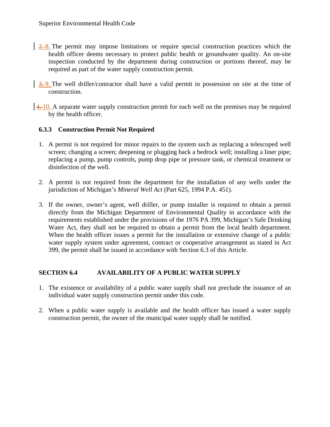- 2. **2.** 8. The permit may impose limitations or require special construction practices which the health officer deems necessary to protect public health or groundwater quality. An on-site inspection conducted by the department during construction or portions thereof, may be required as part of the water supply construction permit.
- $\frac{3.9}{2}$ . The well driller/contractor shall have a valid permit in possession on site at the time of construction.
- $\left| \frac{4,10}{2} \right|$ . A separate water supply construction permit for each well on the premises may be required by the health officer.

# **6.3.3 Construction Permit Not Required**

- 1. A permit is not required for minor repairs to the system such as replacing a telescoped well screen; changing a screen; deepening or plugging back a bedrock well; installing a liner pipe; replacing a pump, pump controls, pump drop pipe or pressure tank, or chemical treatment or disinfection of the well.
- 2. A permit is not required from the department for the installation of any wells under the jurisdiction of Michigan's *Mineral Well Act* (Part 625, 1994 P.A. 451).
- 3. If the owner, owner's agent, well driller, or pump installer is required to obtain a permit directly from the Michigan Department of Environmental Quality in accordance with the requirements established under the provisions of the 1976 PA 399, Michigan's Safe Drinking Water Act, they shall not be required to obtain a permit from the local health department. When the health officer issues a permit for the installation or extensive change of a public water supply system under agreement, contract or cooperative arrangement as stated in Act 399, the permit shall be issued in accordance with Section 6.3 of this Article.

# **SECTION 6.4 AVAILABILITY OF A PUBLIC WATER SUPPLY**

- 1. The existence or availability of a public water supply shall not preclude the issuance of an individual water supply construction permit under this code.
- 2. When a public water supply is available and the health officer has issued a water supply construction permit, the owner of the municipal water supply shall be notified.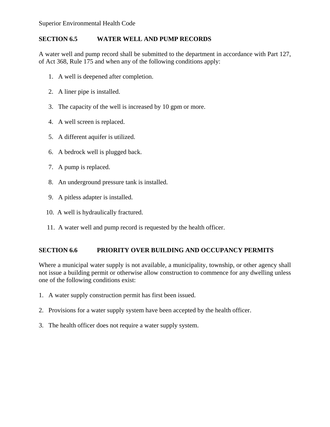# **SECTION 6.5 WATER WELL AND PUMP RECORDS**

A water well and pump record shall be submitted to the department in accordance with Part 127, of Act 368, Rule 175 and when any of the following conditions apply:

- 1. A well is deepened after completion.
- 2. A liner pipe is installed.
- 3. The capacity of the well is increased by 10 gpm or more.
- 4. A well screen is replaced.
- 5. A different aquifer is utilized.
- 6. A bedrock well is plugged back.
- 7. A pump is replaced.
- 8. An underground pressure tank is installed.
- 9. A pitless adapter is installed.
- 10. A well is hydraulically fractured.
- 11. A water well and pump record is requested by the health officer.

# **SECTION 6.6 PRIORITY OVER BUILDING AND OCCUPANCY PERMITS**

Where a municipal water supply is not available, a municipality, township, or other agency shall not issue a building permit or otherwise allow construction to commence for any dwelling unless one of the following conditions exist:

- 1. A water supply construction permit has first been issued.
- 2. Provisions for a water supply system have been accepted by the health officer.
- 3. The health officer does not require a water supply system.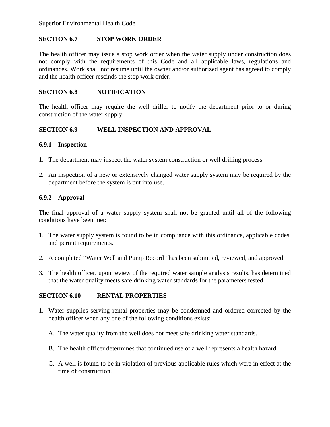# **SECTION 6.7 STOP WORK ORDER**

The health officer may issue a stop work order when the water supply under construction does not comply with the requirements of this Code and all applicable laws, regulations and ordinances. Work shall not resume until the owner and/or authorized agent has agreed to comply and the health officer rescinds the stop work order.

#### **SECTION 6.8 NOTIFICATION**

The health officer may require the well driller to notify the department prior to or during construction of the water supply.

#### **SECTION 6.9 WELL INSPECTION AND APPROVAL**

#### **6.9.1 Inspection**

- 1. The department may inspect the water system construction or well drilling process.
- 2. An inspection of a new or extensively changed water supply system may be required by the department before the system is put into use.

## **6.9.2 Approval**

The final approval of a water supply system shall not be granted until all of the following conditions have been met:

- 1. The water supply system is found to be in compliance with this ordinance, applicable codes, and permit requirements.
- 2. A completed "Water Well and Pump Record" has been submitted, reviewed, and approved.
- 3. The health officer, upon review of the required water sample analysis results, has determined that the water quality meets safe drinking water standards for the parameters tested.

## **SECTION 6.10 RENTAL PROPERTIES**

- 1. Water supplies serving rental properties may be condemned and ordered corrected by the health officer when any one of the following conditions exists:
	- A. The water quality from the well does not meet safe drinking water standards.
	- B. The health officer determines that continued use of a well represents a health hazard.
	- C. A well is found to be in violation of previous applicable rules which were in effect at the time of construction.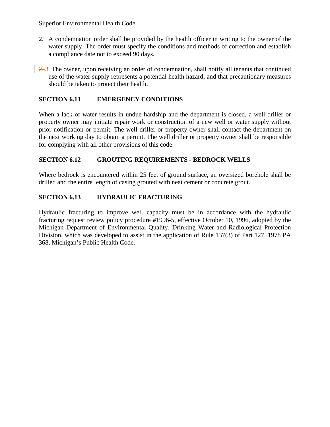- 2. A condemnation order shall be provided by the health officer in writing to the owner of the water supply. The order must specify the conditions and methods of correction and establish a compliance date not to exceed 90 days.
- 2. 3. The owner, upon receiving an order of condemnation, shall notify all tenants that continued use of the water supply represents a potential health hazard, and that precautionary measures should be taken to protect their health.

# **SECTION 6.11 EMERGENCY CONDITIONS**

When a lack of water results in undue hardship and the department is closed, a well driller or property owner may initiate repair work or construction of a new well or water supply without prior notification or permit. The well driller or property owner shall contact the department on the next working day to obtain a permit. The well driller or property owner shall be responsible for complying with all other provisions of this code.

# **SECTION 6.12 GROUTING REQUIREMENTS - BEDROCK WELLS**

Where bedrock is encountered within 25 feet of ground surface, an oversized borehole shall be drilled and the entire length of casing grouted with neat cement or concrete grout.

# **SECTION 6.13 HYDRAULIC FRACTURING**

Hydraulic fracturing to improve well capacity must be in accordance with the hydraulic fracturing request review policy procedure #1996-5, effective October 10, 1996, adopted by the Michigan Department of Environmental Quality, Drinking Water and Radiological Protection Division, which was developed to assist in the application of Rule 137(3) of Part 127, 1978 PA 368, Michigan's Public Health Code.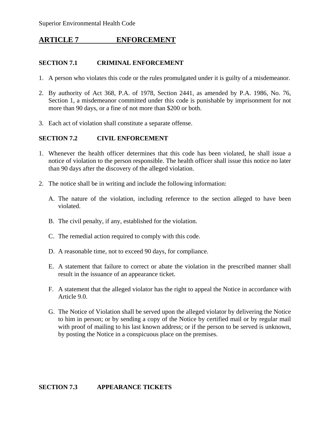# **ARTICLE 7 ENFORCEMENT**

#### **SECTION 7.1 CRIMINAL ENFORCEMENT**

- 1. A person who violates this code or the rules promulgated under it is guilty of a misdemeanor.
- 2. By authority of Act 368, P.A. of 1978, Section 2441, as amended by P.A. 1986, No. 76, Section 1, a misdemeanor committed under this code is punishable by imprisonment for not more than 90 days, or a fine of not more than \$200 or both.
- 3. Each act of violation shall constitute a separate offense.

## **SECTION 7.2 CIVIL ENFORCEMENT**

- 1. Whenever the health officer determines that this code has been violated, he shall issue a notice of violation to the person responsible. The health officer shall issue this notice no later than 90 days after the discovery of the alleged violation.
- 2. The notice shall be in writing and include the following information:
	- A. The nature of the violation, including reference to the section alleged to have been violated.
	- B. The civil penalty, if any, established for the violation.
	- C. The remedial action required to comply with this code.
	- D. A reasonable time, not to exceed 90 days, for compliance.
	- E. A statement that failure to correct or abate the violation in the prescribed manner shall result in the issuance of an appearance ticket.
	- F. A statement that the alleged violator has the right to appeal the Notice in accordance with Article 9.0.
	- G. The Notice of Violation shall be served upon the alleged violator by delivering the Notice to him in person; or by sending a copy of the Notice by certified mail or by regular mail with proof of mailing to his last known address; or if the person to be served is unknown, by posting the Notice in a conspicuous place on the premises.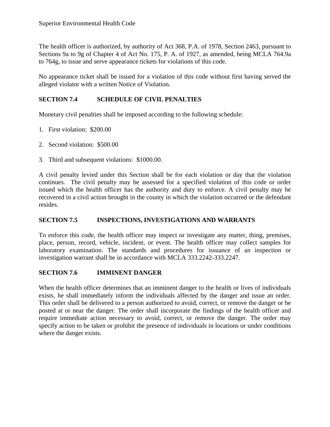The health officer is authorized, by authority of Act 368, P.A. of 1978, Section 2463, pursuant to Sections 9a to 9g of Chapter 4 of Act No. 175, P. A. of 1927, as amended, being MCLA 764.9a to 764g, to issue and serve appearance tickets for violations of this code.

No appearance ticket shall be issued for a violation of this code without first having served the alleged violator with a written Notice of Violation.

# **SECTION 7.4 SCHEDULE OF CIVIL PENALTIES**

Monetary civil penalties shall be imposed according to the following schedule:

- 1. First violation: \$200.00
- 2. Second violation: \$500.00
- 3. Third and subsequent violations: \$1000.00.

A civil penalty levied under this Section shall be for each violation or day that the violation continues. The civil penalty may be assessed for a specified violation of this code or order issued which the health officer has the authority and duty to enforce. A civil penalty may be recovered in a civil action brought in the county in which the violation occurred or the defendant resides.

## **SECTION 7.5 INSPECTIONS, INVESTIGATIONS AND WARRANTS**

To enforce this code, the health officer may inspect or investigate any matter, thing, premises, place, person, record, vehicle, incident, or event. The health officer may collect samples for laboratory examination. The standards and procedures for issuance of an inspection or investigation warrant shall be in accordance with MCLA 333.2242-333.2247.

## **SECTION 7.6 IMMINENT DANGER**

When the health officer determines that an imminent danger to the health or lives of individuals exists, he shall immediately inform the individuals affected by the danger and issue an order. This order shall be delivered to a person authorized to avoid, correct, or remove the danger or be posted at or near the danger. The order shall incorporate the findings of the health officer and require immediate action necessary to avoid, correct, or remove the danger. The order may specify action to be taken or prohibit the presence of individuals in locations or under conditions where the danger exists.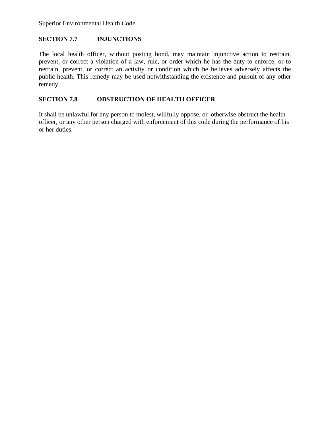# **SECTION 7.7 INJUNCTIONS**

The local health officer, without posting bond, may maintain injunctive action to restrain, prevent, or correct a violation of a law, rule, or order which he has the duty to enforce, or to restrain, prevent, or correct an activity or condition which he believes adversely affects the public health. This remedy may be used notwithstanding the existence and pursuit of any other remedy.

# **SECTION 7.8 OBSTRUCTION OF HEALTH OFFICER**

It shall be unlawful for any person to molest, willfully oppose, or otherwise obstruct the health officer, or any other person charged with enforcement of this code during the performance of his or her duties.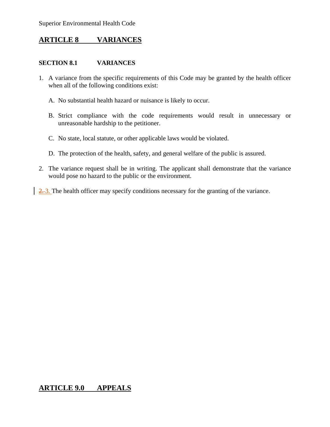# **ARTICLE 8 VARIANCES**

# **SECTION 8.1 VARIANCES**

- 1. A variance from the specific requirements of this Code may be granted by the health officer when all of the following conditions exist:
	- A. No substantial health hazard or nuisance is likely to occur.
	- B. Strict compliance with the code requirements would result in unnecessary or unreasonable hardship to the petitioner.
	- C. No state, local statute, or other applicable laws would be violated.
	- D. The protection of the health, safety, and general welfare of the public is assured.
- 2. The variance request shall be in writing. The applicant shall demonstrate that the variance would pose no hazard to the public or the environment.
- $\frac{2.3}{2}$ . The health officer may specify conditions necessary for the granting of the variance.

# **ARTICLE 9.0 APPEALS**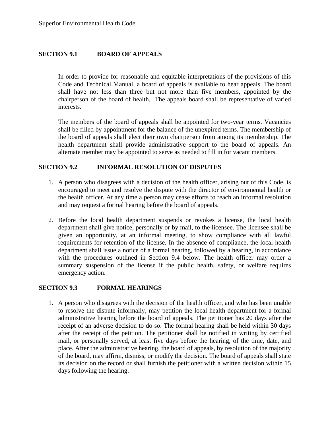# **SECTION 9.1 BOARD OF APPEALS**

 In order to provide for reasonable and equitable interpretations of the provisions of this Code and Technical Manual, a board of appeals is available to hear appeals. The board shall have not less than three but not more than five members, appointed by the chairperson of the board of health. The appeals board shall be representative of varied interests.

The members of the board of appeals shall be appointed for two-year terms. Vacancies shall be filled by appointment for the balance of the unexpired terms. The membership of the board of appeals shall elect their own chairperson from among its membership. The health department shall provide administrative support to the board of appeals. An alternate member may be appointed to serve as needed to fill in for vacant members.

#### **SECTION 9.2 INFORMAL RESOLUTION OF DISPUTES**

- 1. A person who disagrees with a decision of the health officer, arising out of this Code, is encouraged to meet and resolve the dispute with the director of environmental health or the health officer. At any time a person may cease efforts to reach an informal resolution and may request a formal hearing before the board of appeals.
- 2. Before the local health department suspends or revokes a license, the local health department shall give notice, personally or by mail, to the licensee. The licensee shall be given an opportunity, at an informal meeting, to show compliance with all lawful requirements for retention of the license. In the absence of compliance, the local health department shall issue a notice of a formal hearing, followed by a hearing, in accordance with the procedures outlined in Section 9.4 below. The health officer may order a summary suspension of the license if the public health, safety, or welfare requires emergency action.

#### **SECTION 9.3 FORMAL HEARINGS**

1. A person who disagrees with the decision of the health officer, and who has been unable to resolve the dispute informally, may petition the local health department for a formal administrative hearing before the board of appeals. The petitioner has 20 days after the receipt of an adverse decision to do so. The formal hearing shall be held within 30 days after the receipt of the petition. The petitioner shall be notified in writing by certified mail, or personally served, at least five days before the hearing, of the time, date, and place. After the administrative hearing, the board of appeals, by resolution of the majority of the board, may affirm, dismiss, or modify the decision. The board of appeals shall state its decision on the record or shall furnish the petitioner with a written decision within 15 days following the hearing.